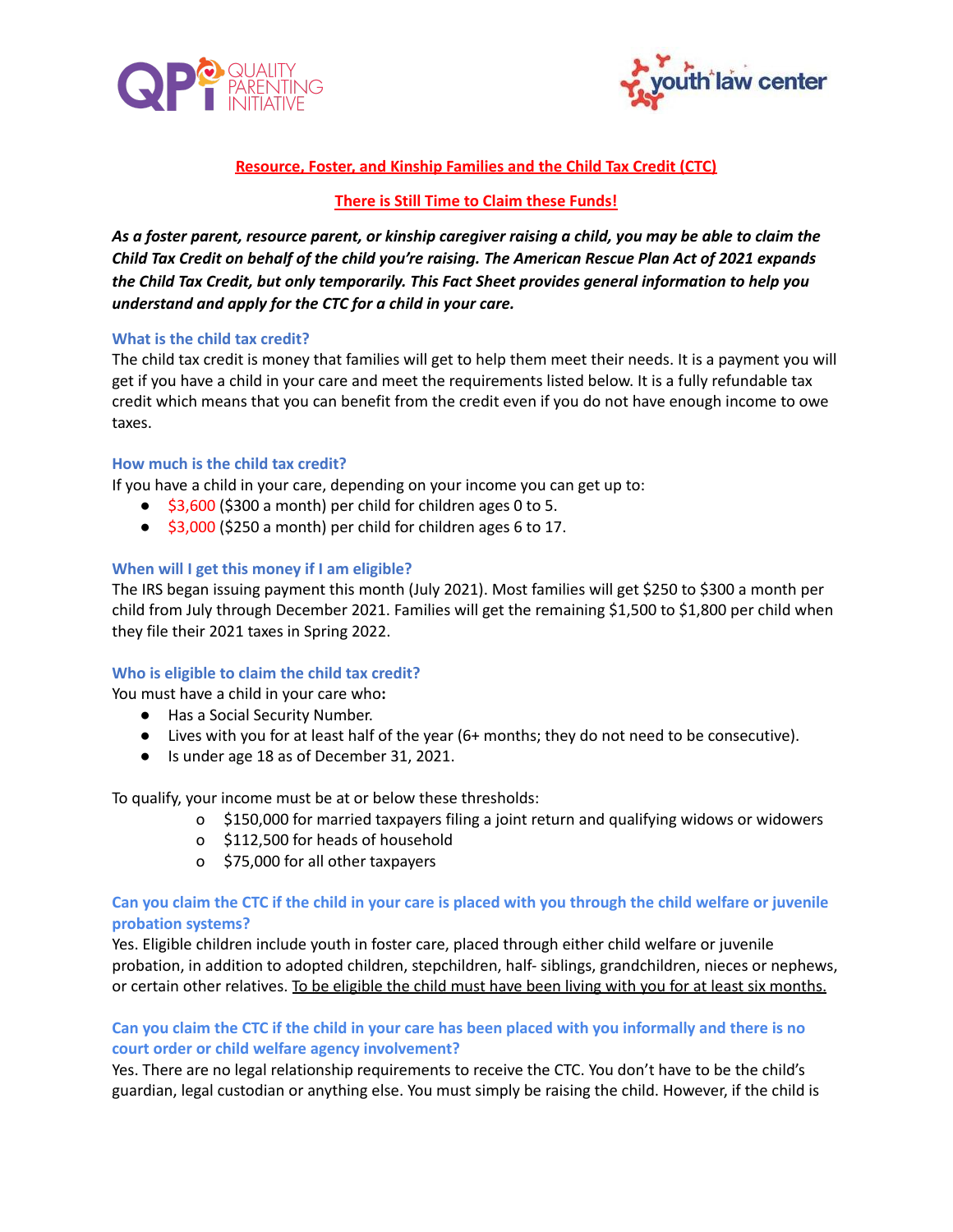



# **Resource, Foster, and Kinship Families and the Child Tax Credit (CTC)**

#### **There is Still Time to Claim these Funds!**

As a foster parent, resource parent, or kinship caregiver raising a child, you may be able to claim the Child Tax Credit on behalf of the child you're raising. The American Rescue Plan Act of 2021 expands *the Child Tax Credit, but only temporarily. This Fact Sheet provides general information to help you understand and apply for the CTC for a child in your care.*

#### **What is the child tax credit?**

The child tax credit is money that families will get to help them meet their needs. It is a payment you will get if you have a child in your care and meet the requirements listed below. It is a fully refundable tax credit which means that you can benefit from the credit even if you do not have enough income to owe taxes.

#### **How much is the child tax credit?**

If you have a child in your care, depending on your income you can get up to:

- \$3,600 (\$300 a month) per child for children ages 0 to 5.
- \$3,000 (\$250 a month) per child for children ages 6 to 17.

#### **When will I get this money if I am eligible?**

The IRS began issuing payment this month (July 2021). Most families will get \$250 to \$300 a month per child from July through December 2021. Families will get the remaining \$1,500 to \$1,800 per child when they file their 2021 taxes in Spring 2022.

#### **Who is eligible to claim the child tax credit?**

You must have a child in your care who**:**

- **●** Has a Social Security Number.
- **●** Lives with you for at least half of the year (6+ months; they do not need to be consecutive).
- **●** Is under age 18 as of December 31, 2021.

To qualify, your income must be at or below these thresholds:

- o \$150,000 for married taxpayers filing a joint return and qualifying widows or widowers
- o \$112,500 for heads of household
- o \$75,000 for all other taxpayers

#### Can you claim the CTC if the child in your care is placed with you through the child welfare or juvenile **probation systems?**

Yes. Eligible children include youth in foster care, placed through either child welfare or juvenile probation, in addition to adopted children, stepchildren, half- siblings, grandchildren, nieces or nephews, or certain other relatives. To be eligible the child must have been living with you for at least six months.

# Can you claim the CTC if the child in your care has been placed with you informally and there is no **court order or child welfare agency involvement?**

Yes. There are no legal relationship requirements to receive the CTC. You don't have to be the child's guardian, legal custodian or anything else. You must simply be raising the child. However, if the child is